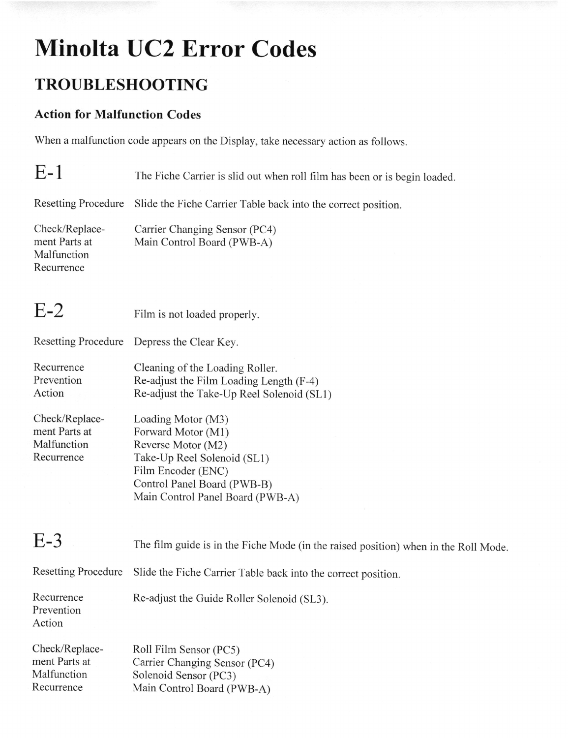## Minolta UC2 Error Codes

## TROUBLESHOOTING

## Action for Malfunction Codes

When a malfunction code appears on the Display, take necessary action as follows.

| E-1 | The Fiche Carrier is slid out when roll film has been or is begin loaded. |  |
|-----|---------------------------------------------------------------------------|--|
|-----|---------------------------------------------------------------------------|--|

Resetting Procedure Slide the Fiche Carrier Table back into the correct position.

Check/Replace- Carrier Changing Sensor (PC4)<br>ment Parts at Main Control Board (PWB-A) Main Control Board (PWB-A) Malfunction Recurrence

| E-2 | Film is not loaded properly. |  |
|-----|------------------------------|--|
|     |                              |  |

Resetting Procedure Depress the Clear Key.

Recurrence Cleaning of the Loading Roller. Prevention Re-adjust the Film Loading Length (F-4) Action Re-adjust the Take-Up Reel Solenoid (SLl)

Check/Replace- Loading Motor (M3) ment Parts at Forward Motor (M1)<br>Malfunction Reverse Motor (M2) Reverse Motor (M2) Recurrence Take-Up Reel Solenoid (SLl) Film Encoder (ENC) Control Panel Board (PWB-B) Main Control Panel Board (PWB-A)

| $E-3$                                                        | The film guide is in the Fiche Mode (in the raised position) when in the Roll Mode.                            |
|--------------------------------------------------------------|----------------------------------------------------------------------------------------------------------------|
| <b>Resetting Procedure</b>                                   | Slide the Fiche Carrier Table back into the correct position.                                                  |
| Recurrence<br>Prevention<br>Action                           | Re-adjust the Guide Roller Solenoid (SL3).                                                                     |
| Check/Replace-<br>ment Parts at<br>Malfunction<br>Recurrence | Roll Film Sensor (PC5)<br>Carrier Changing Sensor (PC4)<br>Solenoid Sensor (PC3)<br>Main Control Board (PWB-A) |